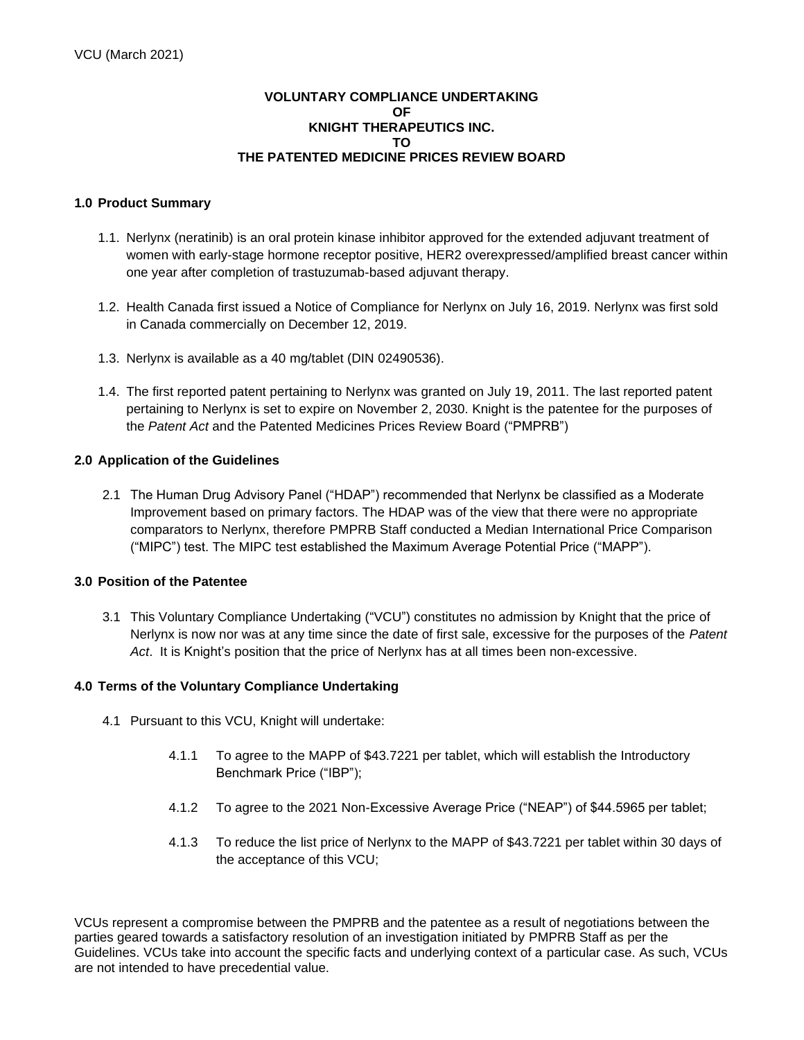## **VOLUNTARY COMPLIANCE UNDERTAKING OF KNIGHT THERAPEUTICS INC. TO THE PATENTED MEDICINE PRICES REVIEW BOARD**

## **1.0 Product Summary**

- 1.1. Nerlynx (neratinib) is an oral protein kinase inhibitor approved for the extended adjuvant treatment of women with early-stage hormone receptor positive, HER2 overexpressed/amplified breast cancer within one year after completion of trastuzumab-based adjuvant therapy.
- 1.2. Health Canada first issued a Notice of Compliance for Nerlynx on July 16, 2019. Nerlynx was first sold in Canada commercially on December 12, 2019.
- 1.3. Nerlynx is available as a 40 mg/tablet (DIN 02490536).
- 1.4. The first reported patent pertaining to Nerlynx was granted on July 19, 2011. The last reported patent pertaining to Nerlynx is set to expire on November 2, 2030. Knight is the patentee for the purposes of the *Patent Act* and the Patented Medicines Prices Review Board ("PMPRB")

## **2.0 Application of the Guidelines**

2.1 The Human Drug Advisory Panel ("HDAP") recommended that Nerlynx be classified as a Moderate Improvement based on primary factors. The HDAP was of the view that there were no appropriate comparators to Nerlynx, therefore PMPRB Staff conducted a Median International Price Comparison ("MIPC") test. The MIPC test established the Maximum Average Potential Price ("MAPP").

#### **3.0 Position of the Patentee**

3.1 This Voluntary Compliance Undertaking ("VCU") constitutes no admission by Knight that the price of Nerlynx is now nor was at any time since the date of first sale, excessive for the purposes of the *Patent Act*. It is Knight's position that the price of Nerlynx has at all times been non-excessive.

#### **4.0 Terms of the Voluntary Compliance Undertaking**

- 4.1 Pursuant to this VCU, Knight will undertake:
	- 4.1.1 To agree to the MAPP of \$43.7221 per tablet, which will establish the Introductory Benchmark Price ("IBP");
	- 4.1.2 To agree to the 2021 Non-Excessive Average Price ("NEAP") of \$44.5965 per tablet;
	- 4.1.3 To reduce the list price of Nerlynx to the MAPP of \$43.7221 per tablet within 30 days of the acceptance of this VCU;

VCUs represent a compromise between the PMPRB and the patentee as a result of negotiations between the parties geared towards a satisfactory resolution of an investigation initiated by PMPRB Staff as per the Guidelines. VCUs take into account the specific facts and underlying context of a particular case. As such, VCUs are not intended to have precedential value.